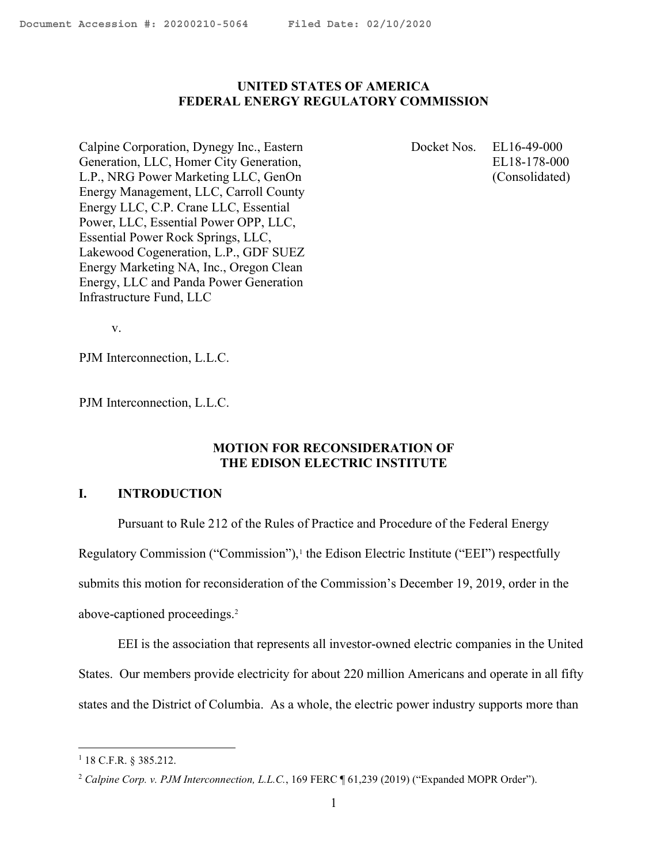#### <span id="page-0-0"></span>UNITED STATES OF AMERICA FEDERAL ENERGY REGULATORY COMMISSION

Calpine Corporation, Dynegy Inc., Eastern Generation, LLC, Homer City Generation, L.P., NRG Power Marketing LLC, GenOn Energy Management, LLC, Carroll County Energy LLC, C.P. Crane LLC, Essential Power, LLC, Essential Power OPP, LLC, Essential Power Rock Springs, LLC, Lakewood Cogeneration, L.P., GDF SUEZ Energy Marketing NA, Inc., Oregon Clean Energy, LLC and Panda Power Generation Infrastructure Fund, LLC

 Docket Nos. EL16-49-000 EL18-178-000 (Consolidated)

v.

PJM Interconnection, L.L.C.

PJM Interconnection, L.L.C.

# MOTION FOR RECONSIDERATION OF THE EDISON ELECTRIC INSTITUTE

## I. INTRODUCTION

Pursuant to Rule 212 of the Rules of Practice and Procedure of the Federal Energy

Regulatory Commission ("Commission"),<sup>1</sup> the Edison Electric Institute ("EEI") respectfully

submits this motion for reconsideration of the Commission's December 19, 2019, order in the

above-captioned proceedings.<sup>2</sup>

EEI is the association that represents all investor-owned electric companies in the United States. Our members provide electricity for about 220 million Americans and operate in all fifty states and the District of Columbia. As a whole, the electric power industry supports more than

 $1$  18 C.F.R. § 385.212.

<sup>&</sup>lt;sup>2</sup> Calpine Corp. v. PJM Interconnection, L.L.C., 169 FERC ¶ 61,239 (2019) ("Expanded MOPR Order").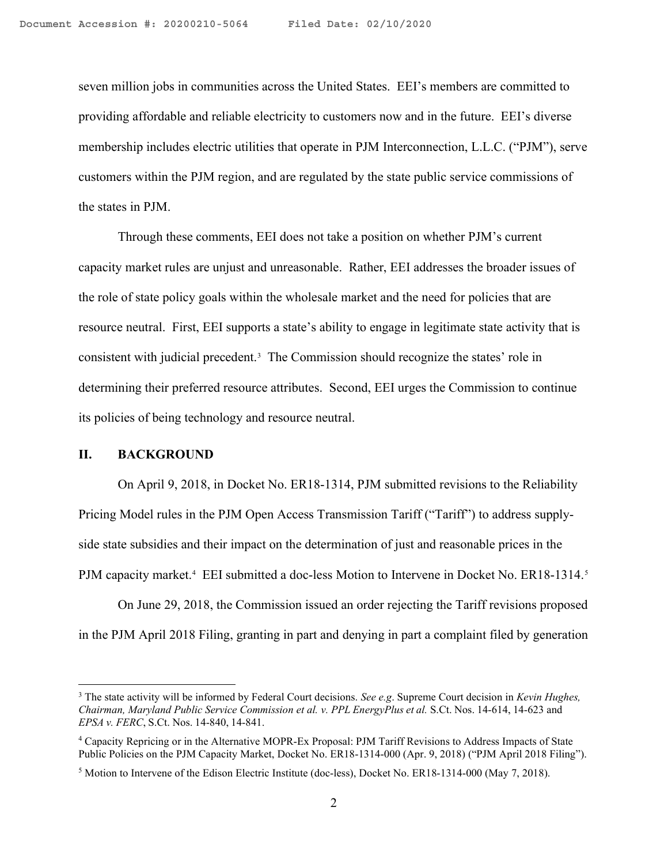seven million jobs in communities across the United States. EEI's members are committed to providing affordable and reliable electricity to customers now and in the future. EEI's diverse membership includes electric utilities that operate in PJM Interconnection, L.L.C. ("PJM"), serve customers within the PJM region, and are regulated by the state public service commissions of the states in PJM.

Through these comments, EEI does not take a position on whether PJM's current capacity market rules are unjust and unreasonable. Rather, EEI addresses the broader issues of the role of state policy goals within the wholesale market and the need for policies that are resource neutral. First, EEI supports a state's ability to engage in legitimate state activity that is consistent with judicial precedent.<sup>3</sup> The Commission should recognize the states' role in determining their preferred resource attributes. Second, EEI urges the Commission to continue its policies of being technology and resource neutral.

#### II. BACKGROUND

On April 9, 2018, in Docket No. ER18-1314, PJM submitted revisions to the Reliability Pricing Model rules in the PJM Open Access Transmission Tariff ("Tariff") to address supplyside state subsidies and their impact on the determination of just and reasonable prices in the PJM capacity market.<sup>4</sup> EEI submitted a doc-less Motion to Intervene in Docket No. ER18-1314.<sup>5</sup>

On June 29, 2018, the Commission issued an order rejecting the Tariff revisions proposed in the PJM April 2018 Filing, granting in part and denying in part a complaint filed by generation

 $3$  The state activity will be informed by Federal Court decisions. See e.g. Supreme Court decision in Kevin Hughes, Chairman, Maryland Public Service Commission et al. v. PPL EnergyPlus et al. S.Ct. Nos. 14-614, 14-623 and EPSA v. FERC, S.Ct. Nos. 14-840, 14-841.

<sup>4</sup> Capacity Repricing or in the Alternative MOPR-Ex Proposal: PJM Tariff Revisions to Address Impacts of State Public Policies on the PJM Capacity Market, Docket No. ER18-1314-000 (Apr. 9, 2018) ("PJM April 2018 Filing").

<sup>&</sup>lt;sup>5</sup> Motion to Intervene of the Edison Electric Institute (doc-less), Docket No. ER18-1314-000 (May 7, 2018).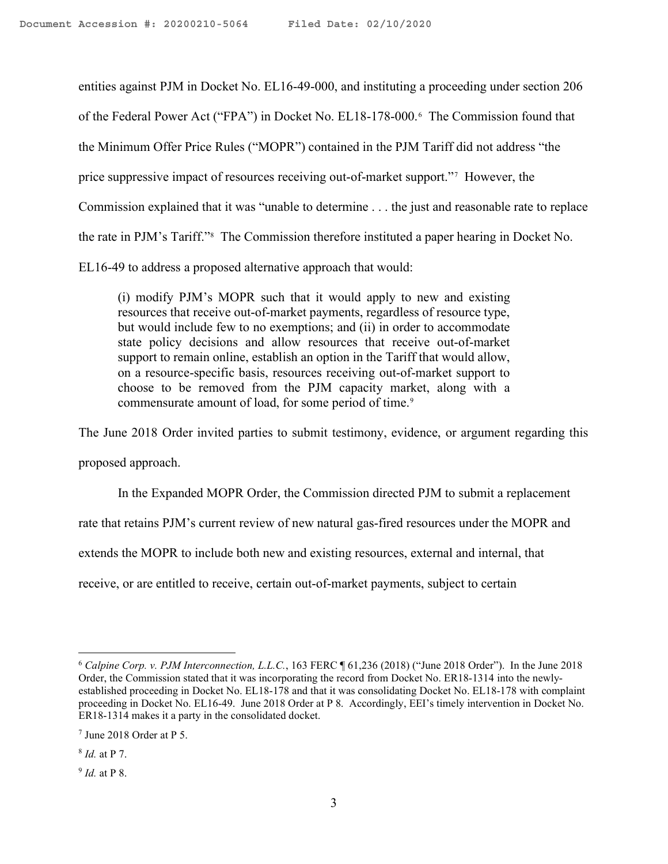entities against PJM in Docket No. EL16-49-000, and instituting a proceeding under section 206 of the Federal Power Act ("FPA") in Docket No. EL18-178-000.<sup>6</sup> The Commission found that the Minimum Offer Price Rules ("MOPR") contained in the PJM Tariff did not address "the price suppressive impact of resources receiving out-of-market support."<sup>7</sup> However, the Commission explained that it was "unable to determine . . . the just and reasonable rate to replace the rate in PJM's Tariff."<sup>8</sup> The Commission therefore instituted a paper hearing in Docket No. EL16-49 to address a proposed alternative approach that would:

(i) modify PJM's MOPR such that it would apply to new and existing resources that receive out-of-market payments, regardless of resource type, but would include few to no exemptions; and (ii) in order to accommodate state policy decisions and allow resources that receive out-of-market support to remain online, establish an option in the Tariff that would allow, on a resource-specific basis, resources receiving out-of-market support to choose to be removed from the PJM capacity market, along with a commensurate amount of load, for some period of time.<sup>9</sup>

The June 2018 Order invited parties to submit testimony, evidence, or argument regarding this

proposed approach.

In the Expanded MOPR Order, the Commission directed PJM to submit a replacement

rate that retains PJM's current review of new natural gas-fired resources under the MOPR and

extends the MOPR to include both new and existing resources, external and internal, that

receive, or are entitled to receive, certain out-of-market payments, subject to certain

<sup>6</sup> Calpine Corp. v. PJM Interconnection, L.L.C., 163 FERC ¶ 61,236 (2018) ("June 2018 Order"). In the June 2018 Order, the Commission stated that it was incorporating the record from Docket No. ER18-1314 into the newlyestablished proceeding in Docket No. EL18-178 and that it was consolidating Docket No. EL18-178 with complaint proceeding in Docket No. EL16-49. June 2018 Order at P 8. Accordingly, EEI's timely intervention in Docket No. ER18-1314 makes it a party in the consolidated docket.

<sup>7</sup> June 2018 Order at P 5.

<sup>&</sup>lt;sup>8</sup> *Id.* at P 7.

<sup>&</sup>lt;sup>9</sup> *Id.* at P 8.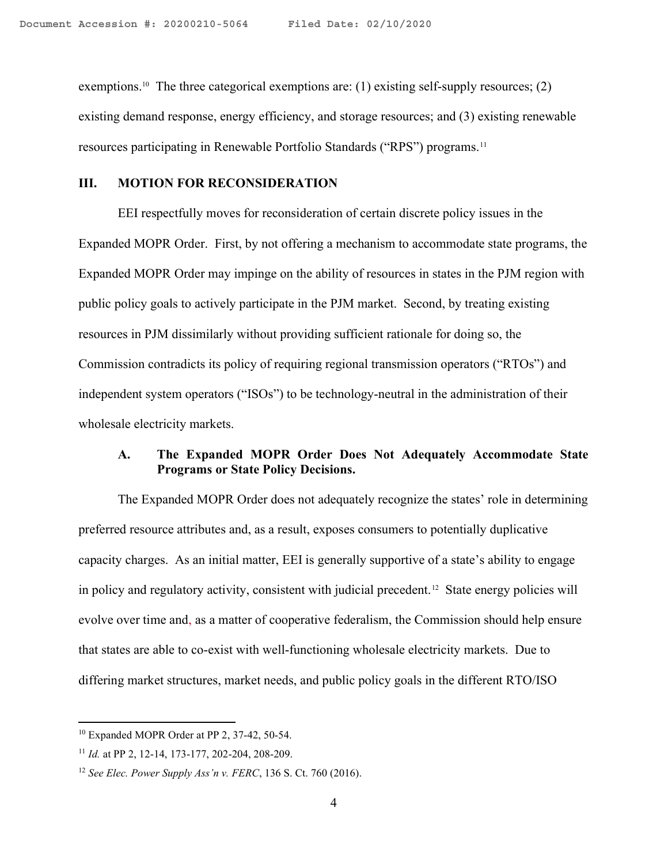exemptions.<sup>10</sup> The three categorical exemptions are: (1) existing self-supply resources; (2) existing demand response, energy efficiency, and storage resources; and (3) existing renewable resources participating in Renewable Portfolio Standards ("RPS") programs.<sup>11</sup>

### III. MOTION FOR RECONSIDERATION

EEI respectfully moves for reconsideration of certain discrete policy issues in the Expanded MOPR Order. First, by not offering a mechanism to accommodate state programs, the Expanded MOPR Order may impinge on the ability of resources in states in the PJM region with public policy goals to actively participate in the PJM market. Second, by treating existing resources in PJM dissimilarly without providing sufficient rationale for doing so, the Commission contradicts its policy of requiring regional transmission operators ("RTOs") and independent system operators ("ISOs") to be technology-neutral in the administration of their wholesale electricity markets.

## A. The Expanded MOPR Order Does Not Adequately Accommodate State Programs or State Policy Decisions.

The Expanded MOPR Order does not adequately recognize the states' role in determining preferred resource attributes and, as a result, exposes consumers to potentially duplicative capacity charges. As an initial matter, EEI is generally supportive of a state's ability to engage in policy and regulatory activity, consistent with judicial precedent.12 State energy policies will evolve over time and, as a matter of cooperative federalism, the Commission should help ensure that states are able to co-exist with well-functioning wholesale electricity markets. Due to differing market structures, market needs, and public policy goals in the different RTO/ISO

<sup>10</sup> Expanded MOPR Order at PP 2, 37-42, 50-54.

 $11$  *Id.* at PP 2, 12-14, 173-177, 202-204, 208-209.

<sup>&</sup>lt;sup>12</sup> See Elec. Power Supply Ass'n v. FERC, 136 S. Ct. 760 (2016).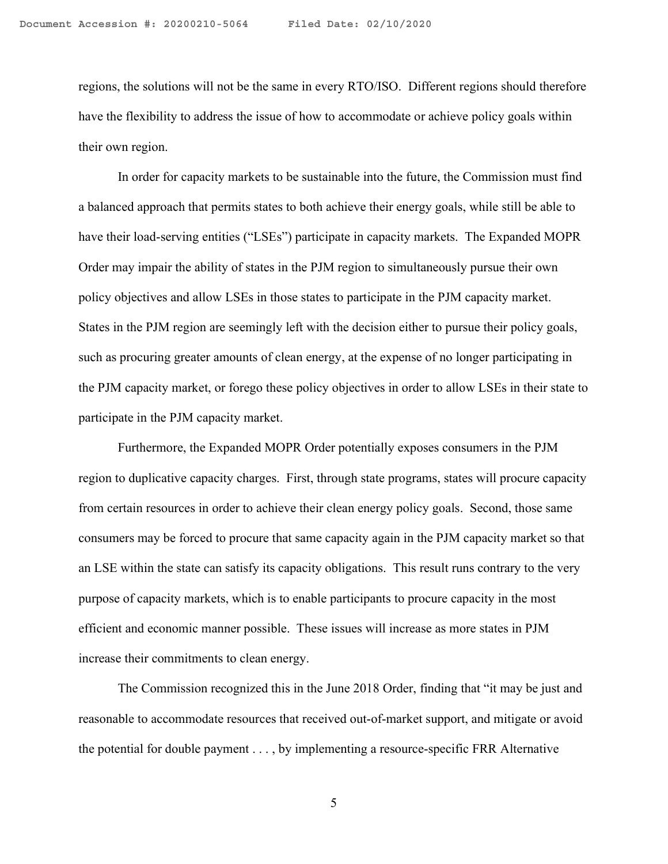regions, the solutions will not be the same in every RTO/ISO. Different regions should therefore have the flexibility to address the issue of how to accommodate or achieve policy goals within their own region.

In order for capacity markets to be sustainable into the future, the Commission must find a balanced approach that permits states to both achieve their energy goals, while still be able to have their load-serving entities ("LSEs") participate in capacity markets. The Expanded MOPR Order may impair the ability of states in the PJM region to simultaneously pursue their own policy objectives and allow LSEs in those states to participate in the PJM capacity market. States in the PJM region are seemingly left with the decision either to pursue their policy goals, such as procuring greater amounts of clean energy, at the expense of no longer participating in the PJM capacity market, or forego these policy objectives in order to allow LSEs in their state to participate in the PJM capacity market.

Furthermore, the Expanded MOPR Order potentially exposes consumers in the PJM region to duplicative capacity charges. First, through state programs, states will procure capacity from certain resources in order to achieve their clean energy policy goals. Second, those same consumers may be forced to procure that same capacity again in the PJM capacity market so that an LSE within the state can satisfy its capacity obligations. This result runs contrary to the very purpose of capacity markets, which is to enable participants to procure capacity in the most efficient and economic manner possible. These issues will increase as more states in PJM increase their commitments to clean energy.

The Commission recognized this in the June 2018 Order, finding that "it may be just and reasonable to accommodate resources that received out-of-market support, and mitigate or avoid the potential for double payment . . . , by implementing a resource-specific FRR Alternative

5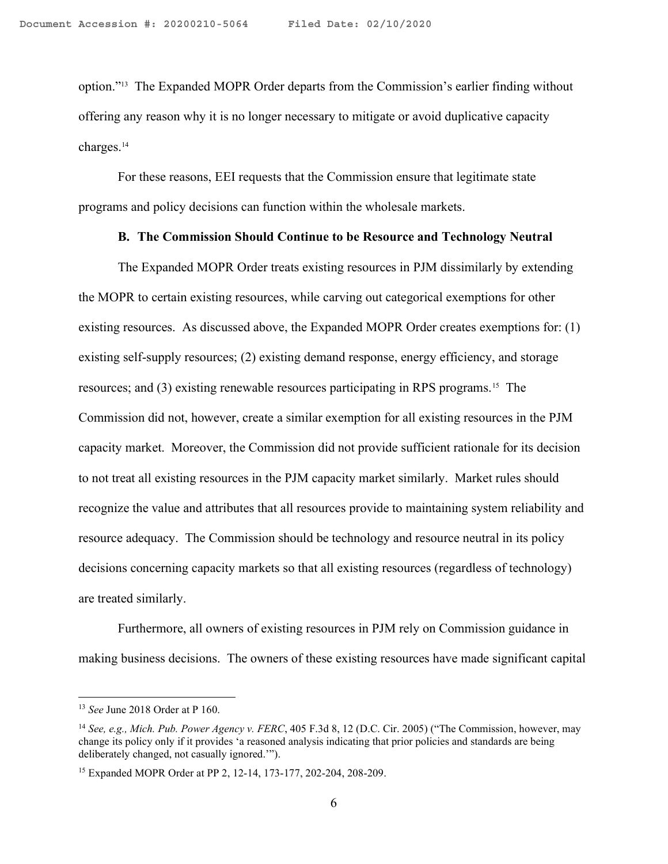option."13 The Expanded MOPR Order departs from the Commission's earlier finding without offering any reason why it is no longer necessary to mitigate or avoid duplicative capacity charges.<sup>14</sup>

For these reasons, EEI requests that the Commission ensure that legitimate state programs and policy decisions can function within the wholesale markets.

#### B. The Commission Should Continue to be Resource and Technology Neutral

The Expanded MOPR Order treats existing resources in PJM dissimilarly by extending the MOPR to certain existing resources, while carving out categorical exemptions for other existing resources. As discussed above, the Expanded MOPR Order creates exemptions for: (1) existing self-supply resources; (2) existing demand response, energy efficiency, and storage resources; and (3) existing renewable resources participating in RPS programs.15 The Commission did not, however, create a similar exemption for all existing resources in the PJM capacity market. Moreover, the Commission did not provide sufficient rationale for its decision to not treat all existing resources in the PJM capacity market similarly. Market rules should recognize the value and attributes that all resources provide to maintaining system reliability and resource adequacy. The Commission should be technology and resource neutral in its policy decisions concerning capacity markets so that all existing resources (regardless of technology) are treated similarly.

Furthermore, all owners of existing resources in PJM rely on Commission guidance in making business decisions. The owners of these existing resources have made significant capital

 $13$  See June 2018 Order at P 160.

<sup>&</sup>lt;sup>14</sup> See, e.g., Mich. Pub. Power Agency v. FERC, 405 F.3d 8, 12 (D.C. Cir. 2005) ("The Commission, however, may change its policy only if it provides 'a reasoned analysis indicating that prior policies and standards are being deliberately changed, not casually ignored.'").

<sup>15</sup> Expanded MOPR Order at PP 2, 12-14, 173-177, 202-204, 208-209.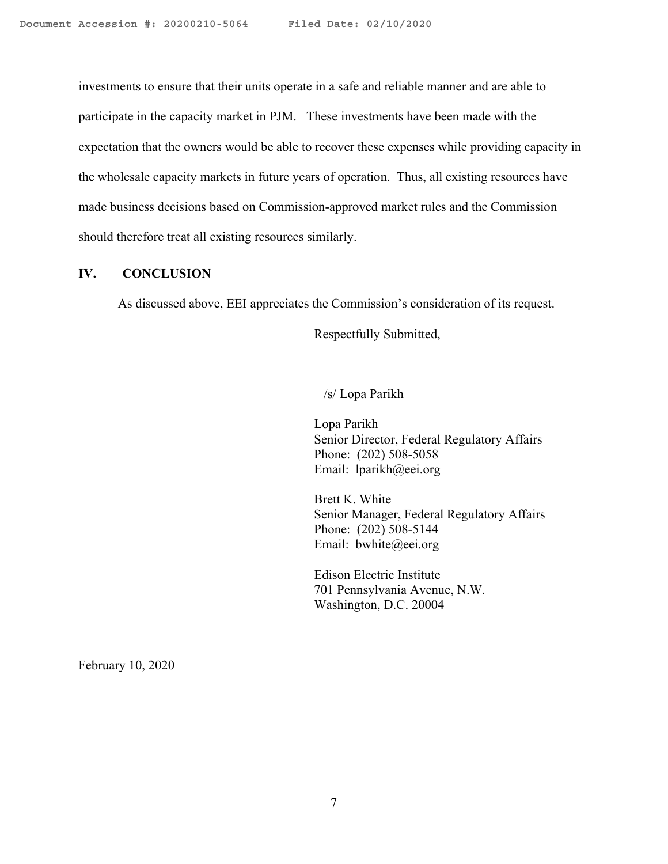investments to ensure that their units operate in a safe and reliable manner and are able to participate in the capacity market in PJM. These investments have been made with the expectation that the owners would be able to recover these expenses while providing capacity in the wholesale capacity markets in future years of operation. Thus, all existing resources have made business decisions based on Commission-approved market rules and the Commission should therefore treat all existing resources similarly.

## IV. CONCLUSION

As discussed above, EEI appreciates the Commission's consideration of its request.

Respectfully Submitted,

 /s/ Lopa Parikh 

Lopa Parikh Senior Director, Federal Regulatory Affairs Phone: (202) 508-5058 Email: lparikh@eei.org

Brett K. White Senior Manager, Federal Regulatory Affairs Phone: (202) 508-5144 Email: bwhite@eei.org

Edison Electric Institute 701 Pennsylvania Avenue, N.W. Washington, D.C. 20004

February 10, 2020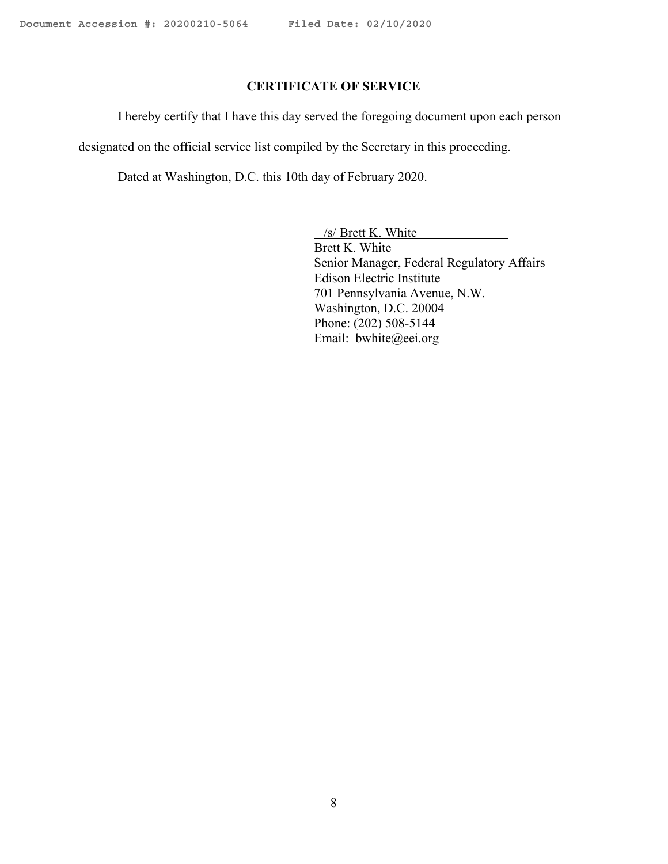# CERTIFICATE OF SERVICE

I hereby certify that I have this day served the foregoing document upon each person

designated on the official service list compiled by the Secretary in this proceeding.

Dated at Washington, D.C. this 10th day of February 2020.

 /s/ Brett K. White Brett K. White Senior Manager, Federal Regulatory Affairs Edison Electric Institute 701 Pennsylvania Avenue, N.W. Washington, D.C. 20004 Phone: (202) 508-5144 Email: bwhite@eei.org